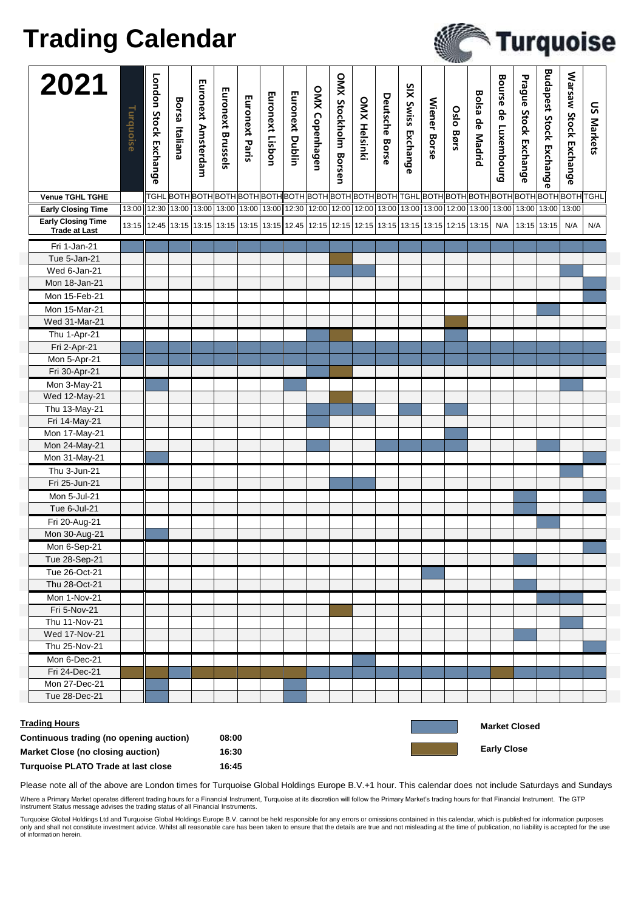## **Trading Calendar**

|                                                                                                             |           |                                                                                                                 |                |                                                                                                                                                                                                                                 |                   |                |                 |                        |                |                      |                     |                |                    |                     | -44110-   |                        |                                            |                       |                                |                       |                   |
|-------------------------------------------------------------------------------------------------------------|-----------|-----------------------------------------------------------------------------------------------------------------|----------------|---------------------------------------------------------------------------------------------------------------------------------------------------------------------------------------------------------------------------------|-------------------|----------------|-----------------|------------------------|----------------|----------------------|---------------------|----------------|--------------------|---------------------|-----------|------------------------|--------------------------------------------|-----------------------|--------------------------------|-----------------------|-------------------|
| 2021                                                                                                        | Turquoise | London Stock Exchange                                                                                           | Borsa Italiana | Euronext Amsterdam                                                                                                                                                                                                              | Euronext Brussels | Euronext Paris | Euronext Lisbon | <b>Euronext Dublin</b> | OMX Copenhagen | OMX Stockholm Borsen | <b>OMX Helsinki</b> | Deutsche Borse | SIX Swiss Exchange | <b>Wiener Borse</b> | Oslo Børs | <b>Bolsa de Madrid</b> | Bourse de Luxembourg                       | Prague Stock Exchange | <b>Budapest Stock Exchange</b> | Warsaw Stock Exchange | <b>US Markets</b> |
| <b>Venue TGHL TGHE</b>                                                                                      |           |                                                                                                                 |                |                                                                                                                                                                                                                                 |                   |                |                 |                        |                |                      |                     |                |                    |                     |           |                        |                                            |                       |                                |                       |                   |
| <b>Early Closing Time</b>                                                                                   | 13:00     |                                                                                                                 |                | 12:30 13:00 13:00 13:00 13:00 13:00 13:00 12:30 12:00 12:00 12:00 13:00 13:00 13:00 13:00 13:00 13:00 13:00 13:00 13:00 13:00 13:00 13:00 13:00 13:00 13:00 13:00 13:00 13:00 13:00 13:00 13:00 13:00 13:00 13:00 13:00 13:00 1 |                   |                |                 |                        |                |                      |                     |                |                    |                     |           |                        |                                            |                       |                                |                       |                   |
| <b>Early Closing Time</b><br><b>Trade at Last</b>                                                           |           | 13:15 13:15 13:15 13:15 13:15 13:15 13:15 13:15 12:45 12:15 12:15 12:15 13:15 13:15 13:15 12:15 13:15 13:15 N/A |                |                                                                                                                                                                                                                                 |                   |                |                 |                        |                |                      |                     |                |                    |                     |           |                        |                                            |                       | 13:15 13:15                    | N/A                   | N/A               |
| Fri 1-Jan-21                                                                                                |           |                                                                                                                 |                |                                                                                                                                                                                                                                 |                   |                |                 |                        |                |                      |                     |                |                    |                     |           |                        |                                            |                       |                                |                       |                   |
| Tue 5-Jan-21                                                                                                |           |                                                                                                                 |                |                                                                                                                                                                                                                                 |                   |                |                 |                        |                |                      |                     |                |                    |                     |           |                        |                                            |                       |                                |                       |                   |
| Wed 6-Jan-21                                                                                                |           |                                                                                                                 |                |                                                                                                                                                                                                                                 |                   |                |                 |                        |                |                      |                     |                |                    |                     |           |                        |                                            |                       |                                |                       |                   |
| Mon 18-Jan-21                                                                                               |           |                                                                                                                 |                |                                                                                                                                                                                                                                 |                   |                |                 |                        |                |                      |                     |                |                    |                     |           |                        |                                            |                       |                                |                       |                   |
| Mon 15-Feb-21                                                                                               |           |                                                                                                                 |                |                                                                                                                                                                                                                                 |                   |                |                 |                        |                |                      |                     |                |                    |                     |           |                        |                                            |                       |                                |                       |                   |
| Mon 15-Mar-21                                                                                               |           |                                                                                                                 |                |                                                                                                                                                                                                                                 |                   |                |                 |                        |                |                      |                     |                |                    |                     |           |                        |                                            |                       |                                |                       |                   |
| Wed 31-Mar-21                                                                                               |           |                                                                                                                 |                |                                                                                                                                                                                                                                 |                   |                |                 |                        |                |                      |                     |                |                    |                     |           |                        |                                            |                       |                                |                       |                   |
|                                                                                                             |           |                                                                                                                 |                |                                                                                                                                                                                                                                 |                   |                |                 |                        |                |                      |                     |                |                    |                     |           |                        |                                            |                       |                                |                       |                   |
| Thu 1-Apr-21                                                                                                |           |                                                                                                                 |                |                                                                                                                                                                                                                                 |                   |                |                 |                        |                |                      |                     |                |                    |                     |           |                        |                                            |                       |                                |                       |                   |
| Fri 2-Apr-21                                                                                                |           |                                                                                                                 |                |                                                                                                                                                                                                                                 |                   |                |                 |                        |                |                      |                     |                |                    |                     |           |                        |                                            |                       |                                |                       |                   |
| Mon 5-Apr-21                                                                                                |           |                                                                                                                 |                |                                                                                                                                                                                                                                 |                   |                |                 |                        |                |                      |                     |                |                    |                     |           |                        |                                            |                       |                                |                       |                   |
| Fri 30-Apr-21                                                                                               |           |                                                                                                                 |                |                                                                                                                                                                                                                                 |                   |                |                 |                        |                |                      |                     |                |                    |                     |           |                        |                                            |                       |                                |                       |                   |
| Mon 3-May-21                                                                                                |           |                                                                                                                 |                |                                                                                                                                                                                                                                 |                   |                |                 |                        |                |                      |                     |                |                    |                     |           |                        |                                            |                       |                                |                       |                   |
| Wed 12-May-21                                                                                               |           |                                                                                                                 |                |                                                                                                                                                                                                                                 |                   |                |                 |                        |                |                      |                     |                |                    |                     |           |                        |                                            |                       |                                |                       |                   |
| Thu 13-May-21                                                                                               |           |                                                                                                                 |                |                                                                                                                                                                                                                                 |                   |                |                 |                        |                |                      |                     |                |                    |                     |           |                        |                                            |                       |                                |                       |                   |
| Fri 14-May-21                                                                                               |           |                                                                                                                 |                |                                                                                                                                                                                                                                 |                   |                |                 |                        |                |                      |                     |                |                    |                     |           |                        |                                            |                       |                                |                       |                   |
| Mon 17-May-21                                                                                               |           |                                                                                                                 |                |                                                                                                                                                                                                                                 |                   |                |                 |                        |                |                      |                     |                |                    |                     |           |                        |                                            |                       |                                |                       |                   |
| Mon 24-May-21                                                                                               |           |                                                                                                                 |                |                                                                                                                                                                                                                                 |                   |                |                 |                        |                |                      |                     |                |                    |                     |           |                        |                                            |                       |                                |                       |                   |
| Mon 31-May-21                                                                                               |           |                                                                                                                 |                |                                                                                                                                                                                                                                 |                   |                |                 |                        |                |                      |                     |                |                    |                     |           |                        |                                            |                       |                                |                       |                   |
| Thu 3-Jun-21                                                                                                |           |                                                                                                                 |                |                                                                                                                                                                                                                                 |                   |                |                 |                        |                |                      |                     |                |                    |                     |           |                        |                                            |                       |                                |                       |                   |
| Fri 25-Jun-21                                                                                               |           |                                                                                                                 |                |                                                                                                                                                                                                                                 |                   |                |                 |                        |                |                      |                     |                |                    |                     |           |                        |                                            |                       |                                |                       |                   |
| Mon 5-Jul-21                                                                                                |           |                                                                                                                 |                |                                                                                                                                                                                                                                 |                   |                |                 |                        |                |                      |                     |                |                    |                     |           |                        |                                            |                       |                                |                       |                   |
| Tue 6-Jul-21                                                                                                |           |                                                                                                                 |                |                                                                                                                                                                                                                                 |                   |                |                 |                        |                |                      |                     |                |                    |                     |           |                        |                                            |                       |                                |                       |                   |
| Fri 20-Aug-21                                                                                               |           |                                                                                                                 |                |                                                                                                                                                                                                                                 |                   |                |                 |                        |                |                      |                     |                |                    |                     |           |                        |                                            |                       |                                |                       |                   |
| Mon 30-Aug-21                                                                                               |           |                                                                                                                 |                |                                                                                                                                                                                                                                 |                   |                |                 |                        |                |                      |                     |                |                    |                     |           |                        |                                            |                       |                                |                       |                   |
| Mon 6-Sep-21                                                                                                |           |                                                                                                                 |                |                                                                                                                                                                                                                                 |                   |                |                 |                        |                |                      |                     |                |                    |                     |           |                        |                                            |                       |                                |                       |                   |
| Tue 28-Sep-21                                                                                               |           |                                                                                                                 |                |                                                                                                                                                                                                                                 |                   |                |                 |                        |                |                      |                     |                |                    |                     |           |                        |                                            |                       |                                |                       |                   |
| Tue 26-Oct-21                                                                                               |           |                                                                                                                 |                |                                                                                                                                                                                                                                 |                   |                |                 |                        |                |                      |                     |                |                    |                     |           |                        |                                            |                       |                                |                       |                   |
| Thu 28-Oct-21                                                                                               |           |                                                                                                                 |                |                                                                                                                                                                                                                                 |                   |                |                 |                        |                |                      |                     |                |                    |                     |           |                        |                                            |                       |                                |                       |                   |
| Mon 1-Nov-21                                                                                                |           |                                                                                                                 |                |                                                                                                                                                                                                                                 |                   |                |                 |                        |                |                      |                     |                |                    |                     |           |                        |                                            |                       |                                |                       |                   |
|                                                                                                             |           |                                                                                                                 |                |                                                                                                                                                                                                                                 |                   |                |                 |                        |                |                      |                     |                |                    |                     |           |                        |                                            |                       |                                |                       |                   |
| Fri 5-Nov-21                                                                                                |           |                                                                                                                 |                |                                                                                                                                                                                                                                 |                   |                |                 |                        |                |                      |                     |                |                    |                     |           |                        |                                            |                       |                                |                       |                   |
| Thu 11-Nov-21                                                                                               |           |                                                                                                                 |                |                                                                                                                                                                                                                                 |                   |                |                 |                        |                |                      |                     |                |                    |                     |           |                        |                                            |                       |                                |                       |                   |
| Wed 17-Nov-21                                                                                               |           |                                                                                                                 |                |                                                                                                                                                                                                                                 |                   |                |                 |                        |                |                      |                     |                |                    |                     |           |                        |                                            |                       |                                |                       |                   |
| Thu 25-Nov-21                                                                                               |           |                                                                                                                 |                |                                                                                                                                                                                                                                 |                   |                |                 |                        |                |                      |                     |                |                    |                     |           |                        |                                            |                       |                                |                       |                   |
| Mon 6-Dec-21                                                                                                |           |                                                                                                                 |                |                                                                                                                                                                                                                                 |                   |                |                 |                        |                |                      |                     |                |                    |                     |           |                        |                                            |                       |                                |                       |                   |
| Fri 24-Dec-21                                                                                               |           |                                                                                                                 |                |                                                                                                                                                                                                                                 |                   |                |                 |                        |                |                      |                     |                |                    |                     |           |                        |                                            |                       |                                |                       |                   |
| Mon 27-Dec-21                                                                                               |           |                                                                                                                 |                |                                                                                                                                                                                                                                 |                   |                |                 |                        |                |                      |                     |                |                    |                     |           |                        |                                            |                       |                                |                       |                   |
| Tue 28-Dec-21                                                                                               |           |                                                                                                                 |                |                                                                                                                                                                                                                                 |                   |                |                 |                        |                |                      |                     |                |                    |                     |           |                        |                                            |                       |                                |                       |                   |
| <b>Trading Hours</b><br>Continuous trading (no opening auction)<br><b>Market Close (no closing auction)</b> |           |                                                                                                                 |                |                                                                                                                                                                                                                                 | 08:00<br>16:30    |                |                 |                        |                |                      |                     |                |                    |                     |           |                        | <b>Market Closed</b><br><b>Early Close</b> |                       |                                |                       |                   |
| Turquoise PLATO Trade at last close                                                                         |           |                                                                                                                 |                |                                                                                                                                                                                                                                 | 16:45             |                |                 |                        |                |                      |                     |                |                    |                     |           |                        |                                            |                       |                                |                       |                   |

Turquoise

Please note all of the above are London times for Turquoise Global Holdings Europe B.V.+1 hour. This calendar does not include Saturdays and Sundays

Where a Primary Market operates different trading hours for a Financial Instrument, Turquoise at its discretion will follow the Primary Market's trading hours for that Financial Instrument. The GTP<br>Instrument Status messag

Turquoise Global Holdings Ltd and Turquoise Global Holdings Europe B.V. cannot be held responsible for any errors or omissions contained in this calendar, which is published for information purposes<br>only and shall not cons